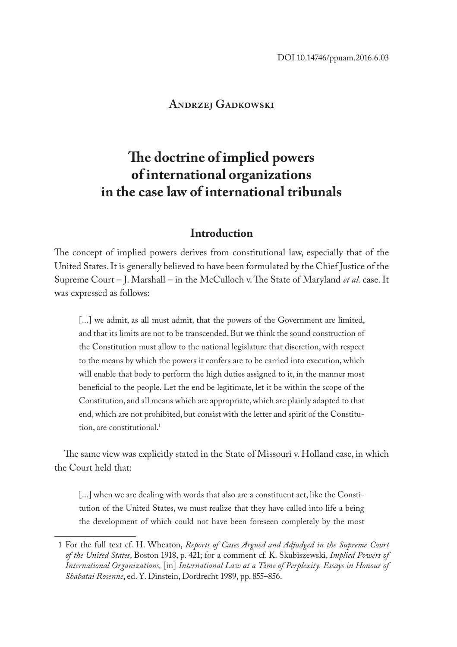## **Andrzej Gadkowski**

# **The doctrine of implied powers of international organizations in the case law of international tribunals**

## **Introduction**

The concept of implied powers derives from constitutional law, especially that of the United States. It is generally believed to have been formulated by the Chief Justice of the Supreme Court – J. Marshall – in the McCulloch v. The State of Maryland *et al.* case. It was expressed as follows:

[...] we admit, as all must admit, that the powers of the Government are limited, and that its limits are not to be transcended. But we think the sound construction of the Constitution must allow to the national legislature that discretion, with respect to the means by which the powers it confers are to be carried into execution, which will enable that body to perform the high duties assigned to it, in the manner most beneficial to the people. Let the end be legitimate, let it be within the scope of the Constitution, and all means which are appropriate, which are plainly adapted to that end, which are not prohibited, but consist with the letter and spirit of the Constitution, are constitutional.<sup>1</sup>

The same view was explicitly stated in the State of Missouri v. Holland case, in which the Court held that:

[...] when we are dealing with words that also are a constituent act, like the Constitution of the United States, we must realize that they have called into life a being the development of which could not have been foreseen completely by the most

<sup>1</sup> For the full text cf. H. Wheaton, *Reports of Cases Argued and Adjudged in the Supreme Court of the United States*, Boston 1918, p. 421; for a comment cf. K. Skubiszewski, *Implied Powers of International Organizations,* [in] *International Law at a Time of Perplexity. Essays in Honour of Shabatai Rosenne*, ed. Y. Dinstein, Dordrecht 1989, pp. 855–856.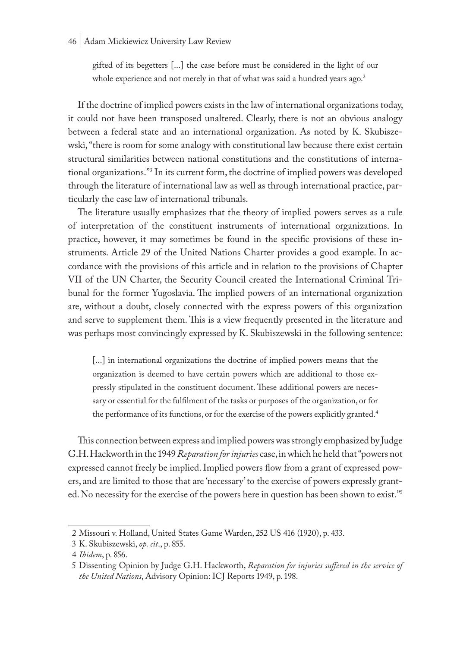#### 46 | Adam Mickiewicz University Law Review

gifted of its begetters [...] the case before must be considered in the light of our whole experience and not merely in that of what was said a hundred years ago.<sup>2</sup>

If the doctrine of implied powers exists in the law of international organizations today, it could not have been transposed unaltered. Clearly, there is not an obvious analogy between a federal state and an international organization. As noted by K. Skubiszewski, "there is room for some analogy with constitutional law because there exist certain structural similarities between national constitutions and the constitutions of international organizations."3 In its current form, the doctrine of implied powers was developed through the literature of international law as well as through international practice, particularly the case law of international tribunals.

The literature usually emphasizes that the theory of implied powers serves as a rule of interpretation of the constituent instruments of international organizations. In practice, however, it may sometimes be found in the specific provisions of these instruments. Article 29 of the United Nations Charter provides a good example. In accordance with the provisions of this article and in relation to the provisions of Chapter VII of the UN Charter, the Security Council created the International Criminal Tribunal for the former Yugoslavia. The implied powers of an international organization are, without a doubt, closely connected with the express powers of this organization and serve to supplement them. This is a view frequently presented in the literature and was perhaps most convincingly expressed by K. Skubiszewski in the following sentence:

[...] in international organizations the doctrine of implied powers means that the organization is deemed to have certain powers which are additional to those expressly stipulated in the constituent document. These additional powers are necessary or essential for the fulfilment of the tasks or purposes of the organization, or for the performance of its functions, or for the exercise of the powers explicitly granted.<sup>4</sup>

This connection between express and implied powers was strongly emphasized by Judge G.H. Hackworth in the 1949 *Reparation for injuries* case, in which he held that "powers not expressed cannot freely be implied. Implied powers flow from a grant of expressed powers, and are limited to those that are 'necessary' to the exercise of powers expressly granted. No necessity for the exercise of the powers here in question has been shown to exist."5

<sup>2</sup> Missouri v. Holland, United States Game Warden, 252 US 416 (1920), p. 433.

<sup>3</sup> K. Skubiszewski, *op. cit*., p. 855.

<sup>4</sup> *Ibidem*, p. 856.

<sup>5</sup> Dissenting Opinion by Judge G.H. Hackworth, *Reparation for injuries suffered in the service of the United Nations*, Advisory Opinion: ICJ Reports 1949, p. 198.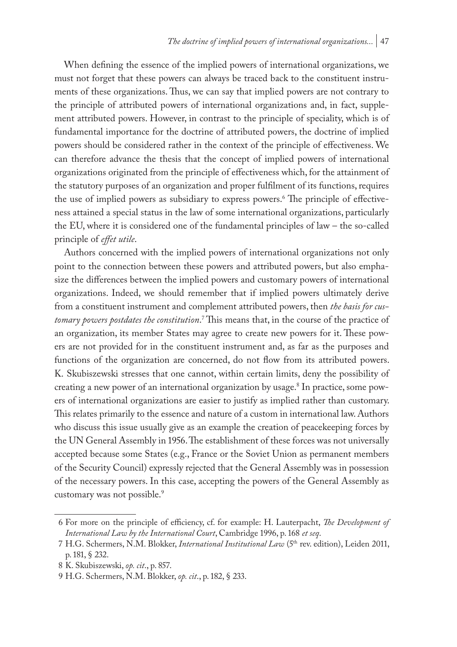When defining the essence of the implied powers of international organizations, we must not forget that these powers can always be traced back to the constituent instruments of these organizations. Thus, we can say that implied powers are not contrary to the principle of attributed powers of international organizations and, in fact, supplement attributed powers. However, in contrast to the principle of speciality, which is of fundamental importance for the doctrine of attributed powers, the doctrine of implied powers should be considered rather in the context of the principle of effectiveness. We can therefore advance the thesis that the concept of implied powers of international organizations originated from the principle of effectiveness which, for the attainment of the statutory purposes of an organization and proper fulfilment of its functions, requires the use of implied powers as subsidiary to express powers.<sup>6</sup> The principle of effectiveness attained a special status in the law of some international organizations, particularly the EU, where it is considered one of the fundamental principles of law – the so-called principle of *effet utile*.

Authors concerned with the implied powers of international organizations not only point to the connection between these powers and attributed powers, but also emphasize the differences between the implied powers and customary powers of international organizations. Indeed, we should remember that if implied powers ultimately derive from a constituent instrument and complement attributed powers, then *the basis for customary powers postdates the constitution*. 7 This means that, in the course of the practice of an organization, its member States may agree to create new powers for it. These powers are not provided for in the constituent instrument and, as far as the purposes and functions of the organization are concerned, do not flow from its attributed powers. K. Skubiszewski stresses that one cannot, within certain limits, deny the possibility of creating a new power of an international organization by usage.<sup>8</sup> In practice, some powers of international organizations are easier to justify as implied rather than customary. This relates primarily to the essence and nature of a custom in international law. Authors who discuss this issue usually give as an example the creation of peacekeeping forces by the UN General Assembly in 1956. The establishment of these forces was not universally accepted because some States (e.g., France or the Soviet Union as permanent members of the Security Council) expressly rejected that the General Assembly was in possession of the necessary powers. In this case, accepting the powers of the General Assembly as customary was not possible.9

<sup>6</sup> For more on the principle of efficiency, cf. for example: H. Lauterpacht, *The Development of International Law by the International Court*, Cambridge 1996, p. 168 *et seq*.

<sup>7</sup> H.G. Schermers, N.M. Blokker, *International Institutional Law* (5th rev. edition), Leiden 2011, p. 181, § 232.

<sup>8</sup> K. Skubiszewski, *op. cit*., p. 857.

<sup>9</sup> H.G. Schermers, N.M. Blokker, *op. cit*., p. 182, § 233.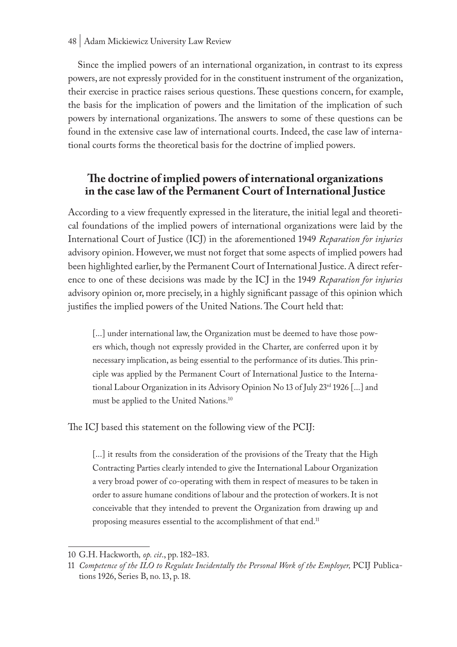Since the implied powers of an international organization, in contrast to its express powers, are not expressly provided for in the constituent instrument of the organization, their exercise in practice raises serious questions. These questions concern, for example, the basis for the implication of powers and the limitation of the implication of such powers by international organizations. The answers to some of these questions can be found in the extensive case law of international courts. Indeed, the case law of international courts forms the theoretical basis for the doctrine of implied powers.

# **The doctrine of implied powers of international organizations in the case law of the Permanent Court of International Justice**

According to a view frequently expressed in the literature, the initial legal and theoretical foundations of the implied powers of international organizations were laid by the International Court of Justice (ICJ) in the aforementioned 1949 *Reparation for injuries* advisory opinion. However, we must not forget that some aspects of implied powers had been highlighted earlier, by the Permanent Court of International Justice. A direct reference to one of these decisions was made by the ICJ in the 1949 *Reparation for injuries* advisory opinion or, more precisely, in a highly significant passage of this opinion which justifies the implied powers of the United Nations. The Court held that:

[...] under international law, the Organization must be deemed to have those powers which, though not expressly provided in the Charter, are conferred upon it by necessary implication, as being essential to the performance of its duties. This principle was applied by the Permanent Court of International Justice to the International Labour Organization in its Advisory Opinion No 13 of July 23<sup>rd</sup> 1926 [...] and must be applied to the United Nations.10

The ICJ based this statement on the following view of the PCIJ:

[...] it results from the consideration of the provisions of the Treaty that the High Contracting Parties clearly intended to give the International Labour Organization a very broad power of co-operating with them in respect of measures to be taken in order to assure humane conditions of labour and the protection of workers. It is not conceivable that they intended to prevent the Organization from drawing up and proposing measures essential to the accomplishment of that end.<sup>11</sup>

<sup>10</sup> G.H. Hackworth*, op. cit*., pp. 182–183.

<sup>11</sup> *Competence of the ILO to Regulate Incidentally the Personal Work of the Employer*, PCIJ Publications 1926, Series B, no. 13, p. 18.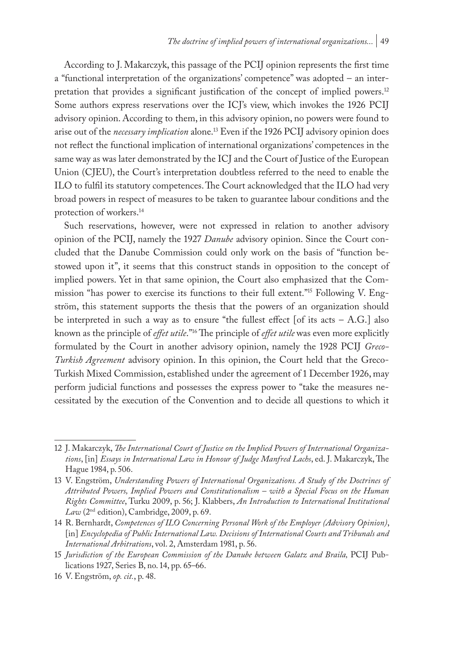According to J. Makarczyk, this passage of the PCIJ opinion represents the first time a "functional interpretation of the organizations' competence" was adopted – an interpretation that provides a significant justification of the concept of implied powers.<sup>12</sup> Some authors express reservations over the ICJ's view, which invokes the 1926 PCIJ advisory opinion. According to them, in this advisory opinion, no powers were found to arise out of the *necessary implication* alone.13 Even if the 1926 PCIJ advisory opinion does not reflect the functional implication of international organizations' competences in the same way as was later demonstrated by the ICJ and the Court of Justice of the European Union (CJEU), the Court's interpretation doubtless referred to the need to enable the ILO to fulfil its statutory competences. The Court acknowledged that the ILO had very broad powers in respect of measures to be taken to guarantee labour conditions and the protection of workers.14

Such reservations, however, were not expressed in relation to another advisory opinion of the PCIJ, namely the 1927 *Danube* advisory opinion. Since the Court concluded that the Danube Commission could only work on the basis of "function bestowed upon it", it seems that this construct stands in opposition to the concept of implied powers. Yet in that same opinion, the Court also emphasized that the Commission "has power to exercise its functions to their full extent."15 Following V. Engström, this statement supports the thesis that the powers of an organization should be interpreted in such a way as to ensure "the fullest effect [of its acts – A.G.] also known as the principle of *effet utile*."16 The principle of *effet utile* was even more explicitly formulated by the Court in another advisory opinion, namely the 1928 PCIJ *Greco-Turkish Agreement* advisory opinion. In this opinion, the Court held that the Greco-Turkish Mixed Commission, established under the agreement of 1 December 1926, may perform judicial functions and possesses the express power to "take the measures necessitated by the execution of the Convention and to decide all questions to which it

<sup>12</sup> J. Makarczyk, *The International Court of Justice on the Implied Powers of International Organizations*, [in] *Essays in International Law in Honour of Judge Manfred Lachs*, ed. J. Makarczyk, The Hague 1984, p. 506.

<sup>13</sup> V. Engström, *Understanding Powers of International Organizations. A Study of the Doctrines of Attributed Powers, Implied Powers and Constitutionalism – with a Special Focus on the Human Rights Committee*, Turku 2009, p. 56; J. Klabbers, *An Introduction to International Institutional Law* (2nd edition), Cambridge, 2009, p. 69.

<sup>14</sup> R. Bernhardt, *Competences of ILO Concerning Personal Work of the Employer (Advisory Opinion)*, [in] *Encyclopedia of Public International Law. Decisions of International Courts and Tribunals and International Arbitrations*, vol. 2, Amsterdam 1981, p. 56.

<sup>15</sup> *Jurisdiction of the European Commission of the Danube between Galatz and Braila,* PCIJ Publications 1927, Series B, no. 14, pp. 65–66.

<sup>16</sup> V. Engström, *op. cit.*, p. 48.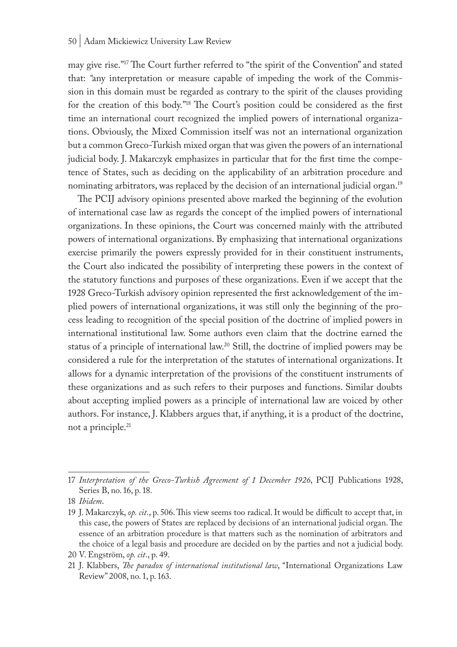may give rise."17 The Court further referred to "the spirit of the Convention" and stated that: *"*any interpretation or measure capable of impeding the work of the Commission in this domain must be regarded as contrary to the spirit of the clauses providing for the creation of this body."18 The Court's position could be considered as the first time an international court recognized the implied powers of international organizations. Obviously, the Mixed Commission itself was not an international organization but a common Greco-Turkish mixed organ that was given the powers of an international judicial body. J. Makarczyk emphasizes in particular that for the first time the competence of States, such as deciding on the applicability of an arbitration procedure and nominating arbitrators, was replaced by the decision of an international judicial organ.<sup>19</sup>

The PCIJ advisory opinions presented above marked the beginning of the evolution of international case law as regards the concept of the implied powers of international organizations. In these opinions, the Court was concerned mainly with the attributed powers of international organizations. By emphasizing that international organizations exercise primarily the powers expressly provided for in their constituent instruments, the Court also indicated the possibility of interpreting these powers in the context of the statutory functions and purposes of these organizations. Even if we accept that the 1928 Greco-Turkish advisory opinion represented the first acknowledgement of the implied powers of international organizations, it was still only the beginning of the process leading to recognition of the special position of the doctrine of implied powers in international institutional law. Some authors even claim that the doctrine earned the status of a principle of international law.20 Still, the doctrine of implied powers may be considered a rule for the interpretation of the statutes of international organizations. It allows for a dynamic interpretation of the provisions of the constituent instruments of these organizations and as such refers to their purposes and functions. Similar doubts about accepting implied powers as a principle of international law are voiced by other authors. For instance, J. Klabbers argues that, if anything, it is a product of the doctrine, not a principle.21

<sup>17</sup> *Interpretation of the Greco-Turkish Agreement of 1 December 1926*, PCIJ Publications 1928, Series B, no. 16, p. 18.

<sup>18</sup> *Ibidem*.

<sup>19</sup> J. Makarczyk, *op. cit*., p. 506. This view seems too radical. It would be difficult to accept that, in this case, the powers of States are replaced by decisions of an international judicial organ. The essence of an arbitration procedure is that matters such as the nomination of arbitrators and the choice of a legal basis and procedure are decided on by the parties and not a judicial body.

<sup>20</sup> V. Engström, *op. cit*., p. 49.

<sup>21</sup> J. Klabbers, *The paradox of international institutional law*, "International Organizations Law Review" 2008, no. 1, p. 163.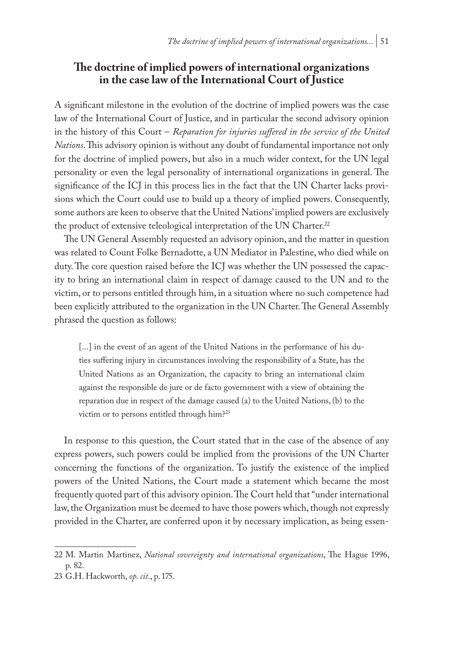# **The doctrine of implied powers of international organizations in the case law of the International Court of Justice**

A significant milestone in the evolution of the doctrine of implied powers was the case law of the International Court of Justice, and in particular the second advisory opinion in the history of this Court – *Reparation for injuries suffered in the service of the United Nations*. This advisory opinion is without any doubt of fundamental importance not only for the doctrine of implied powers, but also in a much wider context, for the UN legal personality or even the legal personality of international organizations in general. The significance of the ICJ in this process lies in the fact that the UN Charter lacks provisions which the Court could use to build up a theory of implied powers. Consequently, some authors are keen to observe that the United Nations' implied powers are exclusively the product of extensive teleological interpretation of the UN Charter.<sup>22</sup>

The UN General Assembly requested an advisory opinion, and the matter in question was related to Count Folke Bernadotte, a UN Mediator in Palestine, who died while on duty. The core question raised before the ICJ was whether the UN possessed the capacity to bring an international claim in respect of damage caused to the UN and to the victim, or to persons entitled through him, in a situation where no such competence had been explicitly attributed to the organization in the UN Charter. The General Assembly phrased the question as follows:

[...] in the event of an agent of the United Nations in the performance of his duties suffering injury in circumstances involving the responsibility of a State, has the United Nations as an Organization, the capacity to bring an international claim against the responsible de jure or de facto government with a view of obtaining the reparation due in respect of the damage caused (a) to the United Nations, (b) to the victim or to persons entitled through him?23

In response to this question, the Court stated that in the case of the absence of any express powers, such powers could be implied from the provisions of the UN Charter concerning the functions of the organization. To justify the existence of the implied powers of the United Nations, the Court made a statement which became the most frequently quoted part of this advisory opinion. The Court held that "under international law, the Organization must be deemed to have those powers which, though not expressly provided in the Charter, are conferred upon it by necessary implication, as being essen-

<sup>22</sup> M. Martin Martinez, *National sovereignty and international organizations*, The Hague 1996, p. 82.

<sup>23</sup> G.H. Hackworth, *op. cit*., p. 175.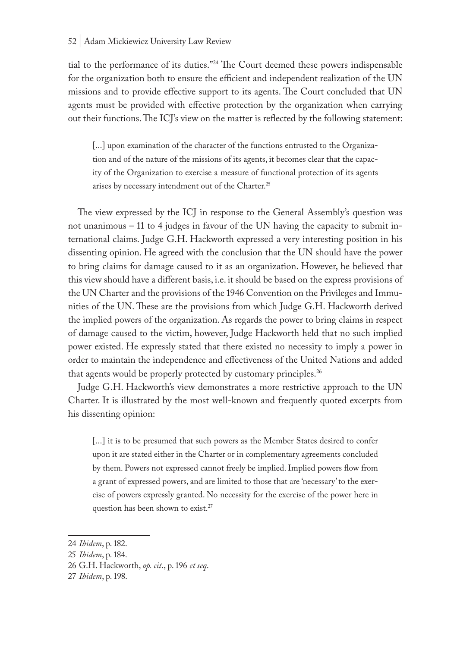tial to the performance of its duties."24 The Court deemed these powers indispensable for the organization both to ensure the efficient and independent realization of the UN missions and to provide effective support to its agents. The Court concluded that UN agents must be provided with effective protection by the organization when carrying out their functions. The ICJ's view on the matter is reflected by the following statement:

[...] upon examination of the character of the functions entrusted to the Organization and of the nature of the missions of its agents, it becomes clear that the capacity of the Organization to exercise a measure of functional protection of its agents arises by necessary intendment out of the Charter.<sup>25</sup>

The view expressed by the ICJ in response to the General Assembly's question was not unanimous – 11 to 4 judges in favour of the UN having the capacity to submit international claims. Judge G.H. Hackworth expressed a very interesting position in his dissenting opinion. He agreed with the conclusion that the UN should have the power to bring claims for damage caused to it as an organization. However, he believed that this view should have a different basis, i.e. it should be based on the express provisions of the UN Charter and the provisions of the 1946 Convention on the Privileges and Immunities of the UN. These are the provisions from which Judge G.H. Hackworth derived the implied powers of the organization. As regards the power to bring claims in respect of damage caused to the victim, however, Judge Hackworth held that no such implied power existed. He expressly stated that there existed no necessity to imply a power in order to maintain the independence and effectiveness of the United Nations and added that agents would be properly protected by customary principles.<sup>26</sup>

Judge G.H. Hackworth's view demonstrates a more restrictive approach to the UN Charter. It is illustrated by the most well-known and frequently quoted excerpts from his dissenting opinion:

[...] it is to be presumed that such powers as the Member States desired to confer upon it are stated either in the Charter or in complementary agreements concluded by them. Powers not expressed cannot freely be implied. Implied powers flow from a grant of expressed powers, and are limited to those that are 'necessary' to the exercise of powers expressly granted. No necessity for the exercise of the power here in question has been shown to exist.<sup>27</sup>

<sup>24</sup> *Ibidem*, p. 182.

<sup>25</sup> *Ibidem*, p. 184.

<sup>26</sup> G.H. Hackworth, *op. cit*., p. 196 *et seq*.

<sup>27</sup> *Ibidem*, p. 198.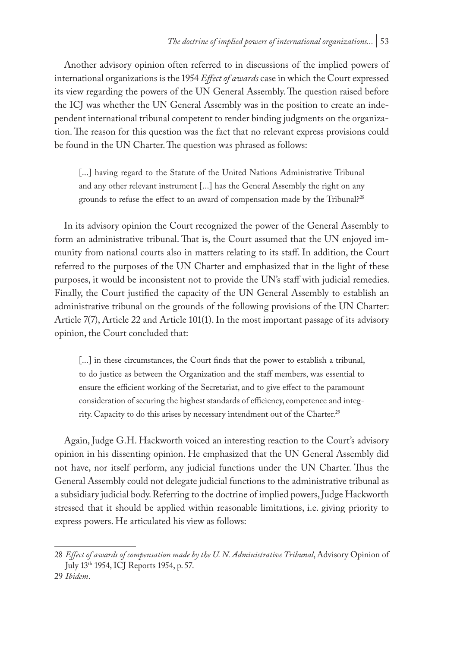Another advisory opinion often referred to in discussions of the implied powers of international organizations is the 1954 *Effect of awards* case in which the Court expressed its view regarding the powers of the UN General Assembly. The question raised before the ICJ was whether the UN General Assembly was in the position to create an independent international tribunal competent to render binding judgments on the organization. The reason for this question was the fact that no relevant express provisions could be found in the UN Charter. The question was phrased as follows:

[...] having regard to the Statute of the United Nations Administrative Tribunal and any other relevant instrument [...] has the General Assembly the right on any grounds to refuse the effect to an award of compensation made by the Tribunal?<sup>28</sup>

In its advisory opinion the Court recognized the power of the General Assembly to form an administrative tribunal. That is, the Court assumed that the UN enjoyed immunity from national courts also in matters relating to its staff. In addition, the Court referred to the purposes of the UN Charter and emphasized that in the light of these purposes, it would be inconsistent not to provide the UN's staff with judicial remedies. Finally, the Court justified the capacity of the UN General Assembly to establish an administrative tribunal on the grounds of the following provisions of the UN Charter: Article 7(7), Article 22 and Article 101(1). In the most important passage of its advisory opinion, the Court concluded that:

[...] in these circumstances, the Court finds that the power to establish a tribunal, to do justice as between the Organization and the staff members, was essential to ensure the efficient working of the Secretariat, and to give effect to the paramount consideration of securing the highest standards of efficiency, competence and integrity. Capacity to do this arises by necessary intendment out of the Charter.<sup>29</sup>

Again, Judge G.H. Hackworth voiced an interesting reaction to the Court's advisory opinion in his dissenting opinion. He emphasized that the UN General Assembly did not have, nor itself perform, any judicial functions under the UN Charter. Thus the General Assembly could not delegate judicial functions to the administrative tribunal as a subsidiary judicial body. Referring to the doctrine of implied powers, Judge Hackworth stressed that it should be applied within reasonable limitations, i.e. giving priority to express powers. He articulated his view as follows:

<sup>28</sup> *Effect of awards of compensation made by the U. N. Administrative Tribunal*, Advisory Opinion of July 13th 1954, ICJ Reports 1954, p. 57.

<sup>29</sup> *Ibidem*.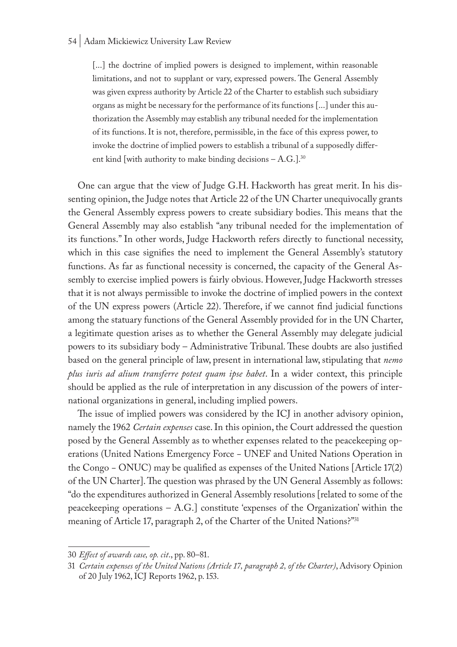#### 54 | Adam Mickiewicz University Law Review

[...] the doctrine of implied powers is designed to implement, within reasonable limitations, and not to supplant or vary, expressed powers. The General Assembly was given express authority by Article 22 of the Charter to establish such subsidiary organs as might be necessary for the performance of its functions [...] under this authorization the Assembly may establish any tribunal needed for the implementation of its functions. It is not, therefore, permissible, in the face of this express power, to invoke the doctrine of implied powers to establish a tribunal of a supposedly different kind [with authority to make binding decisions  $- A.G.$ ].<sup>30</sup>

One can argue that the view of Judge G.H. Hackworth has great merit. In his dissenting opinion, the Judge notes that Article 22 of the UN Charter unequivocally grants the General Assembly express powers to create subsidiary bodies. This means that the General Assembly may also establish "any tribunal needed for the implementation of its functions." In other words, Judge Hackworth refers directly to functional necessity, which in this case signifies the need to implement the General Assembly's statutory functions. As far as functional necessity is concerned, the capacity of the General Assembly to exercise implied powers is fairly obvious. However, Judge Hackworth stresses that it is not always permissible to invoke the doctrine of implied powers in the context of the UN express powers (Article 22). Therefore, if we cannot find judicial functions among the statuary functions of the General Assembly provided for in the UN Charter, a legitimate question arises as to whether the General Assembly may delegate judicial powers to its subsidiary body – Administrative Tribunal. These doubts are also justified based on the general principle of law, present in international law, stipulating that *nemo plus iuris ad alium transferre potest quam ipse habet*. In a wider context, this principle should be applied as the rule of interpretation in any discussion of the powers of international organizations in general, including implied powers.

The issue of implied powers was considered by the ICJ in another advisory opinion, namely the 1962 *Certain expenses* case. In this opinion, the Court addressed the question posed by the General Assembly as to whether expenses related to the peacekeeping operations (United Nations Emergency Force − UNEF and United Nations Operation in the Congo − ONUC) may be qualified as expenses of the United Nations [Article 17(2) of the UN Charter]. The question was phrased by the UN General Assembly as follows: "do the expenditures authorized in General Assembly resolutions [related to some of the peacekeeping operations – A.G.] constitute 'expenses of the Organization' within the meaning of Article 17, paragraph 2, of the Charter of the United Nations?"<sup>31</sup>

<sup>30</sup> *Effect of awards case, op. cit*., pp. 80–81.

<sup>31</sup> *Certain expenses of the United Nations (Article 17, paragraph 2, of the Charter)*, Advisory Opinion of 20 July 1962, ICJ Reports 1962, p. 153.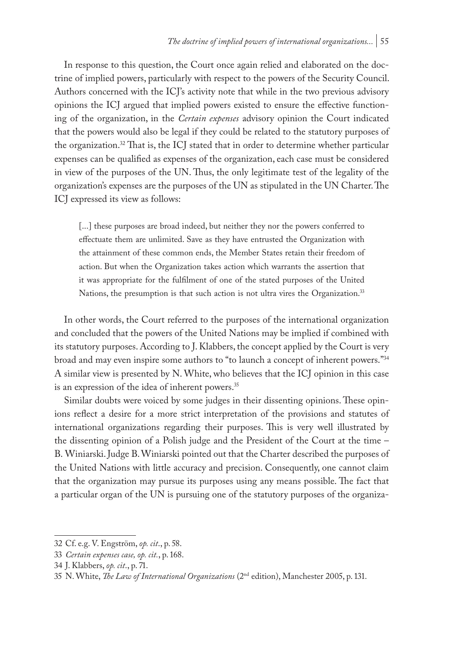In response to this question, the Court once again relied and elaborated on the doctrine of implied powers, particularly with respect to the powers of the Security Council. Authors concerned with the ICJ's activity note that while in the two previous advisory opinions the ICJ argued that implied powers existed to ensure the effective functioning of the organization, in the *Certain expenses* advisory opinion the Court indicated that the powers would also be legal if they could be related to the statutory purposes of the organization.32 That is, the ICJ stated that in order to determine whether particular expenses can be qualified as expenses of the organization, each case must be considered in view of the purposes of the UN. Thus, the only legitimate test of the legality of the organization's expenses are the purposes of the UN as stipulated in the UN Charter. The ICJ expressed its view as follows:

[...] these purposes are broad indeed, but neither they nor the powers conferred to effectuate them are unlimited. Save as they have entrusted the Organization with the attainment of these common ends, the Member States retain their freedom of action. But when the Organization takes action which warrants the assertion that it was appropriate for the fulfilment of one of the stated purposes of the United Nations, the presumption is that such action is not ultra vires the Organization.<sup>33</sup>

In other words, the Court referred to the purposes of the international organization and concluded that the powers of the United Nations may be implied if combined with its statutory purposes. According to J. Klabbers, the concept applied by the Court is very broad and may even inspire some authors to "to launch a concept of inherent powers."34 A similar view is presented by N. White, who believes that the ICJ opinion in this case is an expression of the idea of inherent powers.<sup>35</sup>

Similar doubts were voiced by some judges in their dissenting opinions. These opinions reflect a desire for a more strict interpretation of the provisions and statutes of international organizations regarding their purposes. This is very well illustrated by the dissenting opinion of a Polish judge and the President of the Court at the time – B. Winiarski. Judge B. Winiarski pointed out that the Charter described the purposes of the United Nations with little accuracy and precision. Consequently, one cannot claim that the organization may pursue its purposes using any means possible. The fact that a particular organ of the UN is pursuing one of the statutory purposes of the organiza-

<sup>32</sup> Cf. e.g. V. Engström, *op. cit*., p. 58.

<sup>33</sup> *Certain expenses case, op. cit.*, p. 168.

<sup>34</sup> J. Klabbers, *op. cit*., p. 71.

<sup>35</sup> N. White, *The Law of International Organizations* (2nd edition), Manchester 2005, p. 131.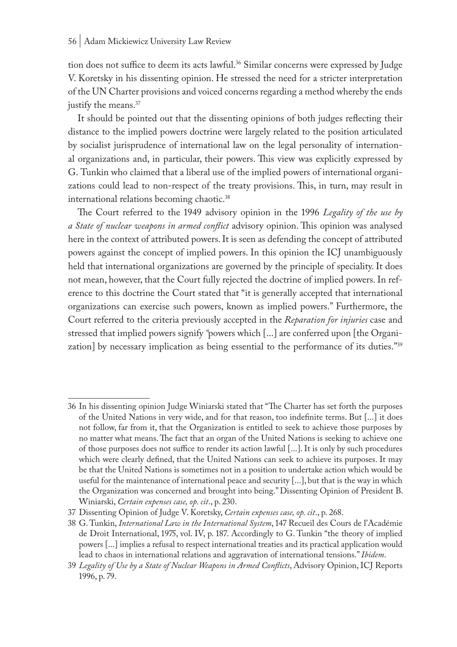tion does not suffice to deem its acts lawful.<sup>36</sup> Similar concerns were expressed by Judge V. Koretsky in his dissenting opinion. He stressed the need for a stricter interpretation of the UN Charter provisions and voiced concerns regarding a method whereby the ends justify the means.<sup>37</sup>

It should be pointed out that the dissenting opinions of both judges reflecting their distance to the implied powers doctrine were largely related to the position articulated by socialist jurisprudence of international law on the legal personality of international organizations and, in particular, their powers. This view was explicitly expressed by G. Tunkin who claimed that a liberal use of the implied powers of international organizations could lead to non-respect of the treaty provisions. This, in turn, may result in international relations becoming chaotic.38

The Court referred to the 1949 advisory opinion in the 1996 *Legality of the use by a State of nuclear weapons in armed conflict* advisory opinion. This opinion was analysed here in the context of attributed powers. It is seen as defending the concept of attributed powers against the concept of implied powers. In this opinion the ICJ unambiguously held that international organizations are governed by the principle of speciality. It does not mean, however, that the Court fully rejected the doctrine of implied powers. In reference to this doctrine the Court stated that "it is generally accepted that international organizations can exercise such powers, known as implied powers." Furthermore, the Court referred to the criteria previously accepted in the *Reparation for injuries* case and stressed that implied powers signify *"*powers which [...] are conferred upon [the Organization] by necessary implication as being essential to the performance of its duties."39

<sup>36</sup> In his dissenting opinion Judge Winiarski stated that "The Charter has set forth the purposes of the United Nations in very wide, and for that reason, too indefinite terms. But [...] it does not follow, far from it, that the Organization is entitled to seek to achieve those purposes by no matter what means. The fact that an organ of the United Nations is seeking to achieve one of those purposes does not suffice to render its action lawful [...]. It is only by such procedures which were clearly defined, that the United Nations can seek to achieve its purposes. It may be that the United Nations is sometimes not in a position to undertake action which would be useful for the maintenance of international peace and security [...], but that is the way in which the Organization was concerned and brought into being." Dissenting Opinion of President B. Winiarski, *Certain expenses case, op. cit*., p. 230.

<sup>37</sup> Dissenting Opinion of Judge V. Koretsky, *Certain expenses case, op. cit*., p. 268.

<sup>38</sup> G. Tunkin, *International Law in the International System*, 147 Recueil des Cours de l'Académie de Droit International, 1975, vol. IV, p. 187. Accordingly to G. Tunkin "the theory of implied powers [...] implies a refusal to respect international treaties and its practical application would lead to chaos in international relations and aggravation of international tensions." *Ibidem*.

<sup>39</sup> *Legality of Use by a State of Nuclear Weapons in Armed Conflicts*, Advisory Opinion, ICJ Reports 1996, p. 79.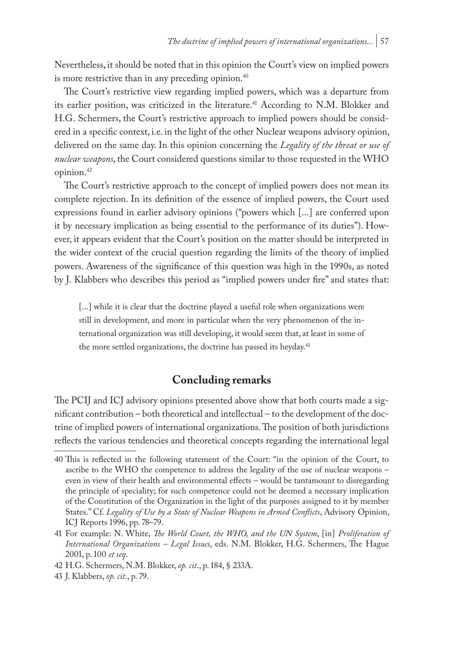Nevertheless, it should be noted that in this opinion the Court's view on implied powers is more restrictive than in any preceding opinion.<sup>40</sup>

The Court's restrictive view regarding implied powers, which was a departure from its earlier position, was criticized in the literature.<sup>41</sup> According to N.M. Blokker and H.G. Schermers, the Court's restrictive approach to implied powers should be considered in a specific context, i.e. in the light of the other Nuclear weapons advisory opinion, delivered on the same day. In this opinion concerning the *Legality of the threat or use of nuclear weapons*, the Court considered questions similar to those requested in the WHO opinion.42

The Court's restrictive approach to the concept of implied powers does not mean its complete rejection. In its definition of the essence of implied powers, the Court used expressions found in earlier advisory opinions ("powers which [...] are conferred upon it by necessary implication as being essential to the performance of its duties"). However, it appears evident that the Court's position on the matter should be interpreted in the wider context of the crucial question regarding the limits of the theory of implied powers. Awareness of the significance of this question was high in the 1990s, as noted by J. Klabbers who describes this period as "implied powers under fire" and states that:

[...] while it is clear that the doctrine played a useful role when organizations were still in development, and more in particular when the very phenomenon of the international organization was still developing, it would seem that, at least in some of the more settled organizations, the doctrine has passed its heyday.<sup>43</sup>

# **Concluding remarks**

The PCIJ and ICJ advisory opinions presented above show that both courts made a significant contribution – both theoretical and intellectual – to the development of the doctrine of implied powers of international organizations. The position of both jurisdictions reflects the various tendencies and theoretical concepts regarding the international legal

<sup>40</sup> This is reflected in the following statement of the Court: "in the opinion of the Court, to ascribe to the WHO the competence to address the legality of the use of nuclear weapons – even in view of their health and environmental effects – would be tantamount to disregarding the principle of speciality; for such competence could not be deemed a necessary implication of the Constitution of the Organization in the light of the purposes assigned to it by member States." Cf. *Legality of Use by a State of Nuclear Weapons in Armed Conflicts*, Advisory Opinion, ICJ Reports 1996, pp. 78–79.

<sup>41</sup> For example: N. White, *The World Court, the WHO, and the UN System*, [in] *Proliferation of International Organizations – Legal Issues*, eds. N.M. Blokker, H.G. Schermers, The Hague 2001, p. 100 *et seq*.

<sup>42</sup> H.G. Schermers, N.M. Blokker, *op. cit*., p. 184, § 233A.

<sup>43</sup> J. Klabbers, *op. cit*., p. 79.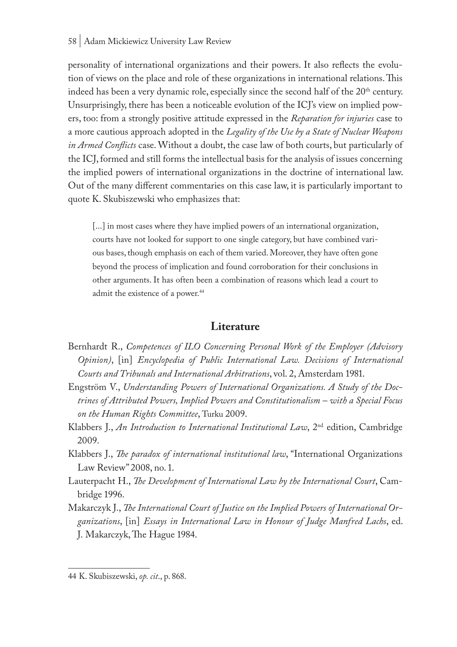#### 58 | Adam Mickiewicz University Law Review

personality of international organizations and their powers. It also reflects the evolution of views on the place and role of these organizations in international relations. This indeed has been a very dynamic role, especially since the second half of the  $20<sup>th</sup>$  century. Unsurprisingly, there has been a noticeable evolution of the ICJ's view on implied powers, too: from a strongly positive attitude expressed in the *Reparation for injuries* case to a more cautious approach adopted in the *Legality of the Use by a State of Nuclear Weapons in Armed Conflicts* case. Without a doubt, the case law of both courts, but particularly of the ICJ, formed and still forms the intellectual basis for the analysis of issues concerning the implied powers of international organizations in the doctrine of international law. Out of the many different commentaries on this case law, it is particularly important to quote K. Skubiszewski who emphasizes that:

[...] in most cases where they have implied powers of an international organization, courts have not looked for support to one single category, but have combined various bases, though emphasis on each of them varied. Moreover, they have often gone beyond the process of implication and found corroboration for their conclusions in other arguments. It has often been a combination of reasons which lead a court to admit the existence of a power.<sup>44</sup>

# **Literature**

- Bernhardt R., *Competences of ILO Concerning Personal Work of the Employer (Advisory Opinion)*, [in] *Encyclopedia of Public International Law. Decisions of International Courts and Tribunals and International Arbitrations*, vol. 2, Amsterdam 1981.
- Engström V., *Understanding Powers of International Organizations. A Study of the Doctrines of Attributed Powers, Implied Powers and Constitutionalism – with a Special Focus on the Human Rights Committee*, Turku 2009.
- Klabbers J., *An Introduction to International Institutional Law*, 2nd edition, Cambridge 2009.
- Klabbers J., *The paradox of international institutional law*, "International Organizations Law Review" 2008, no. 1.
- Lauterpacht H., *The Development of International Law by the International Court*, Cambridge 1996.
- Makarczyk J., *The International Court of Justice on the Implied Powers of International Organizations*, [in] *Essays in International Law in Honour of Judge Manfred Lachs*, ed. J. Makarczyk, The Hague 1984.

<sup>44</sup> K. Skubiszewski, *op. cit*., p. 868.